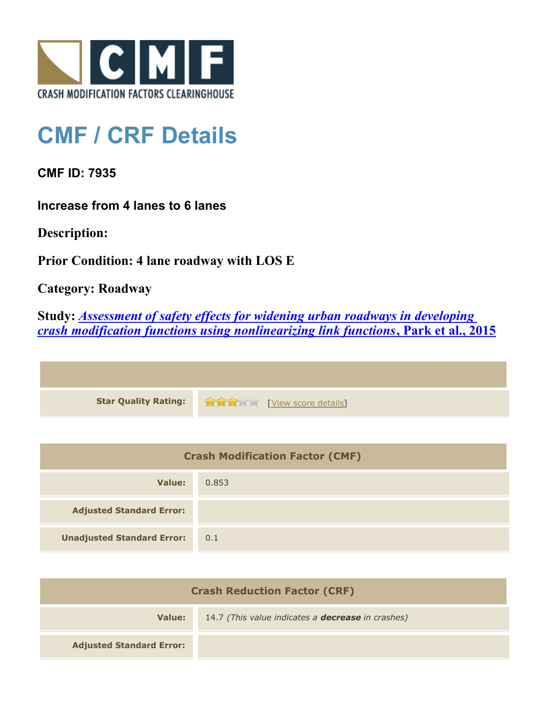

## **CMF / CRF Details**

**CMF ID: 7935**

**Increase from 4 lanes to 6 lanes**

**Description:** 

**Prior Condition: 4 lane roadway with LOS E**

**Category: Roadway**

**Study:** *[Assessment of safety effects for widening urban roadways in developing](http://www.cmfclearinghouse.org/study_detail.cfm?stid=438) [crash modification functions using nonlinearizing link functions](http://www.cmfclearinghouse.org/study_detail.cfm?stid=438)***[, Park et al., 2015](http://www.cmfclearinghouse.org/study_detail.cfm?stid=438)**

| Star Quality Rating: 1999 [View score details] |
|------------------------------------------------|

| <b>Crash Modification Factor (CMF)</b> |       |
|----------------------------------------|-------|
| Value:                                 | 0.853 |
| <b>Adjusted Standard Error:</b>        |       |
| <b>Unadjusted Standard Error:</b>      | 0.1   |

| <b>Crash Reduction Factor (CRF)</b> |                                                          |
|-------------------------------------|----------------------------------------------------------|
| Value:                              | 14.7 (This value indicates a <b>decrease</b> in crashes) |
| <b>Adjusted Standard Error:</b>     |                                                          |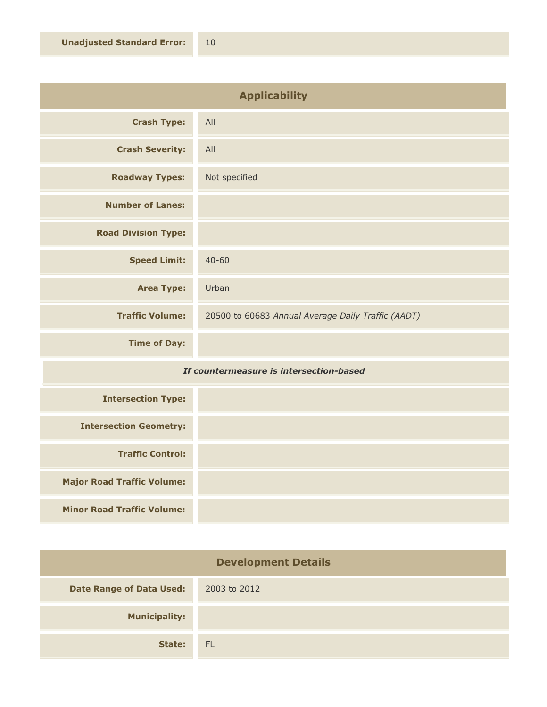| <b>Applicability</b>       |                                                    |
|----------------------------|----------------------------------------------------|
| <b>Crash Type:</b>         | All                                                |
| <b>Crash Severity:</b>     | All                                                |
| <b>Roadway Types:</b>      | Not specified                                      |
| <b>Number of Lanes:</b>    |                                                    |
| <b>Road Division Type:</b> |                                                    |
| <b>Speed Limit:</b>        | $40 - 60$                                          |
| <b>Area Type:</b>          | Urban                                              |
| <b>Traffic Volume:</b>     | 20500 to 60683 Annual Average Daily Traffic (AADT) |
| <b>Time of Day:</b>        |                                                    |
|                            |                                                    |

## *If countermeasure is intersection-based*

| <b>Intersection Type:</b>         |  |
|-----------------------------------|--|
| <b>Intersection Geometry:</b>     |  |
| <b>Traffic Control:</b>           |  |
| <b>Major Road Traffic Volume:</b> |  |
| <b>Minor Road Traffic Volume:</b> |  |

| <b>Development Details</b>      |              |
|---------------------------------|--------------|
| <b>Date Range of Data Used:</b> | 2003 to 2012 |
| <b>Municipality:</b>            |              |
| State:                          | - FL         |